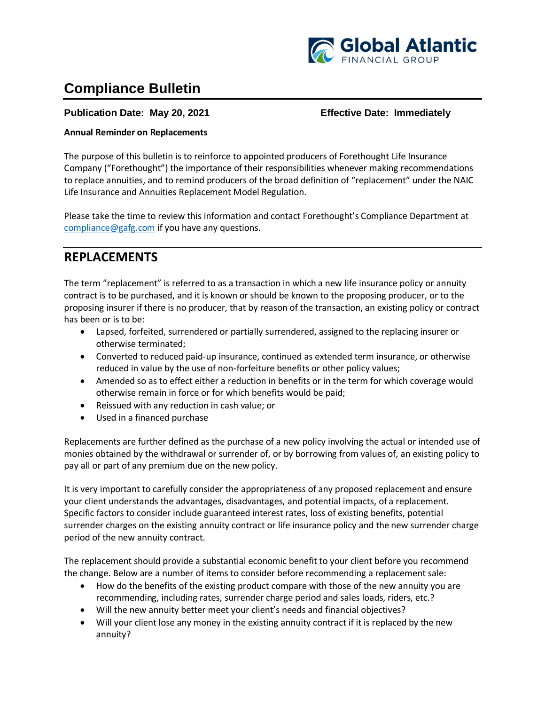

# **Compliance Bulletin**

### **Publication Date: May 20, 2021 Effective Date: Immediately**

#### **Annual Reminder on Replacements**

The purpose of this bulletin is to reinforce to appointed producers of Forethought Life Insurance Company ("Forethought") the importance of their responsibilities whenever making recommendations to replace annuities, and to remind producers of the broad definition of "replacement" under the NAIC Life Insurance and Annuities Replacement Model Regulation.

Please take the time to review this information and contact Forethought's Compliance Department at [compliance@gafg.com](mailto:compliance@gafg.com) if you have any questions.

### **REPLACEMENTS**

The term "replacement" is referred to as a transaction in which a new life insurance policy or annuity contract is to be purchased, and it is known or should be known to the proposing producer, or to the proposing insurer if there is no producer, that by reason of the transaction, an existing policy or contract has been or is to be:

- Lapsed, forfeited, surrendered or partially surrendered, assigned to the replacing insurer or otherwise terminated;
- Converted to reduced paid-up insurance, continued as extended term insurance, or otherwise reduced in value by the use of non-forfeiture benefits or other policy values;
- Amended so as to effect either a reduction in benefits or in the term for which coverage would otherwise remain in force or for which benefits would be paid;
- Reissued with any reduction in cash value; or
- Used in a financed purchase

Replacements are further defined as the purchase of a new policy involving the actual or intended use of monies obtained by the withdrawal or surrender of, or by borrowing from values of, an existing policy to pay all or part of any premium due on the new policy.

It is very important to carefully consider the appropriateness of any proposed replacement and ensure your client understands the advantages, disadvantages, and potential impacts, of a replacement. Specific factors to consider include guaranteed interest rates, loss of existing benefits, potential surrender charges on the existing annuity contract or life insurance policy and the new surrender charge period of the new annuity contract.

The replacement should provide a substantial economic benefit to your client before you recommend the change. Below are a number of items to consider before recommending a replacement sale:

- How do the benefits of the existing product compare with those of the new annuity you are recommending, including rates, surrender charge period and sales loads, riders, etc.?
- Will the new annuity better meet your client's needs and financial objectives?
- Will your client lose any money in the existing annuity contract if it is replaced by the new annuity?